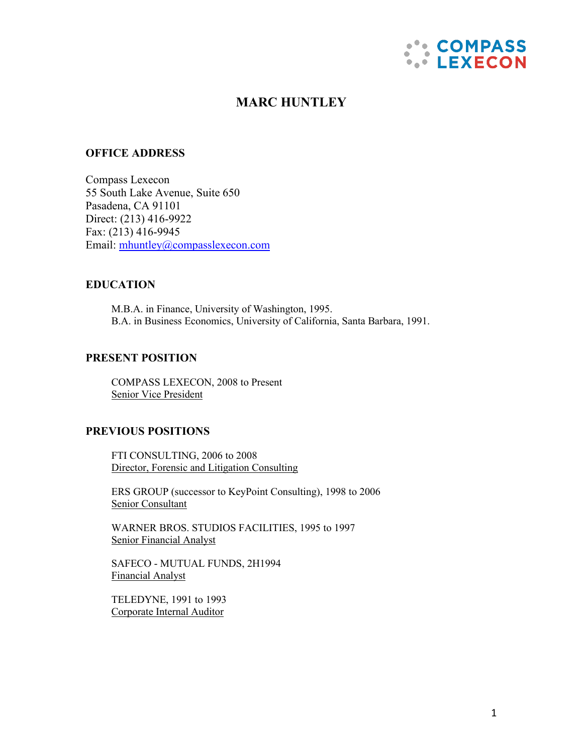

# **MARC HUNTLEY**

### **OFFICE ADDRESS**

Compass Lexecon 55 South Lake Avenue, Suite 650 Pasadena, CA 91101 Direct: (213) 416-9922 Fax: (213) 416-9945 Email: [mhuntley@compasslexecon.com](mailto:mhuntley@compasslexecon.com)

### **EDUCATION**

M.B.A. in Finance, University of Washington, 1995. B.A. in Business Economics, University of California, Santa Barbara, 1991.

## **PRESENT POSITION**

COMPASS LEXECON, 2008 to Present Senior Vice President

### **PREVIOUS POSITIONS**

FTI CONSULTING, 2006 to 2008 Director, Forensic and Litigation Consulting

ERS GROUP (successor to KeyPoint Consulting), 1998 to 2006 Senior Consultant

WARNER BROS. STUDIOS FACILITIES, 1995 to 1997 Senior Financial Analyst

SAFECO - MUTUAL FUNDS, 2H1994 Financial Analyst

TELEDYNE, 1991 to 1993 Corporate Internal Auditor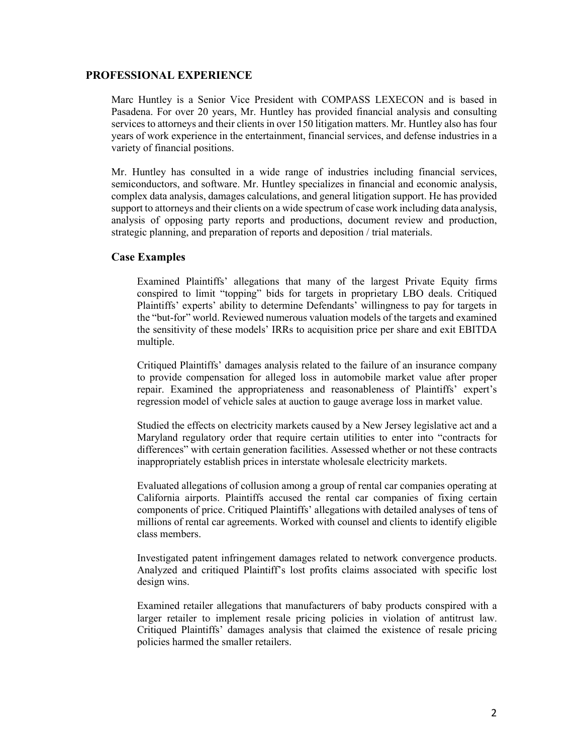#### **PROFESSIONAL EXPERIENCE**

Marc Huntley is a Senior Vice President with COMPASS LEXECON and is based in Pasadena. For over 20 years, Mr. Huntley has provided financial analysis and consulting services to attorneys and their clients in over 150 litigation matters. Mr. Huntley also has four years of work experience in the entertainment, financial services, and defense industries in a variety of financial positions.

Mr. Huntley has consulted in a wide range of industries including financial services, semiconductors, and software. Mr. Huntley specializes in financial and economic analysis, complex data analysis, damages calculations, and general litigation support. He has provided support to attorneys and their clients on a wide spectrum of case work including data analysis, analysis of opposing party reports and productions, document review and production, strategic planning, and preparation of reports and deposition / trial materials.

### **Case Examples**

Examined Plaintiffs' allegations that many of the largest Private Equity firms conspired to limit "topping" bids for targets in proprietary LBO deals. Critiqued Plaintiffs' experts' ability to determine Defendants' willingness to pay for targets in the "but-for" world. Reviewed numerous valuation models of the targets and examined the sensitivity of these models' IRRs to acquisition price per share and exit EBITDA multiple.

Critiqued Plaintiffs' damages analysis related to the failure of an insurance company to provide compensation for alleged loss in automobile market value after proper repair. Examined the appropriateness and reasonableness of Plaintiffs' expert's regression model of vehicle sales at auction to gauge average loss in market value.

Studied the effects on electricity markets caused by a New Jersey legislative act and a Maryland regulatory order that require certain utilities to enter into "contracts for differences" with certain generation facilities. Assessed whether or not these contracts inappropriately establish prices in interstate wholesale electricity markets.

Evaluated allegations of collusion among a group of rental car companies operating at California airports. Plaintiffs accused the rental car companies of fixing certain components of price. Critiqued Plaintiffs' allegations with detailed analyses of tens of millions of rental car agreements. Worked with counsel and clients to identify eligible class members.

Investigated patent infringement damages related to network convergence products. Analyzed and critiqued Plaintiff's lost profits claims associated with specific lost design wins.

Examined retailer allegations that manufacturers of baby products conspired with a larger retailer to implement resale pricing policies in violation of antitrust law. Critiqued Plaintiffs' damages analysis that claimed the existence of resale pricing policies harmed the smaller retailers.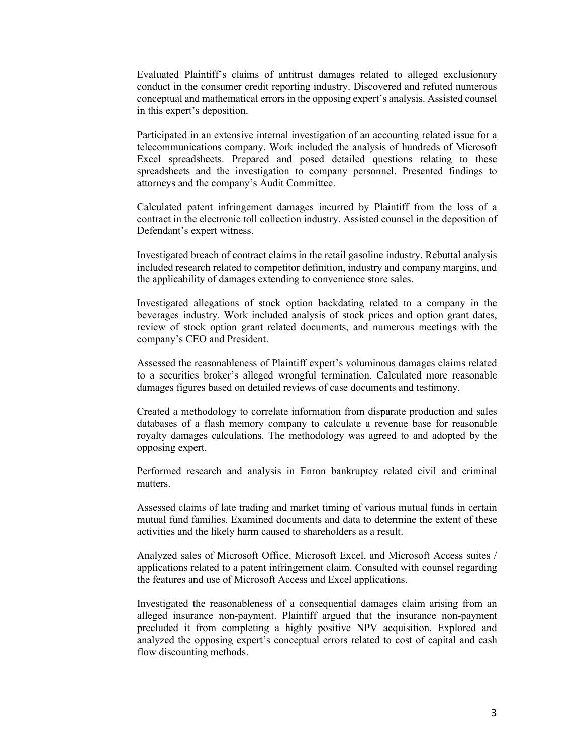Evaluated Plaintiff's claims of antitrust damages related to alleged exclusionary conduct in the consumer credit reporting industry. Discovered and refuted numerous conceptual and mathematical errors in the opposing expert's analysis. Assisted counsel in this expert's deposition.

Participated in an extensive internal investigation of an accounting related issue for a telecommunications company. Work included the analysis of hundreds of Microsoft Excel spreadsheets. Prepared and posed detailed questions relating to these spreadsheets and the investigation to company personnel. Presented findings to attorneys and the company's Audit Committee.

Calculated patent infringement damages incurred by Plaintiff from the loss of a contract in the electronic toll collection industry. Assisted counsel in the deposition of Defendant's expert witness.

Investigated breach of contract claims in the retail gasoline industry. Rebuttal analysis included research related to competitor definition, industry and company margins, and the applicability of damages extending to convenience store sales.

Investigated allegations of stock option backdating related to a company in the beverages industry. Work included analysis of stock prices and option grant dates, review of stock option grant related documents, and numerous meetings with the company's CEO and President.

Assessed the reasonableness of Plaintiff expert's voluminous damages claims related to a securities broker's alleged wrongful termination. Calculated more reasonable damages figures based on detailed reviews of case documents and testimony.

Created a methodology to correlate information from disparate production and sales databases of a flash memory company to calculate a revenue base for reasonable royalty damages calculations. The methodology was agreed to and adopted by the opposing expert.

Performed research and analysis in Enron bankruptcy related civil and criminal matters.

Assessed claims of late trading and market timing of various mutual funds in certain mutual fund families. Examined documents and data to determine the extent of these activities and the likely harm caused to shareholders as a result.

Analyzed sales of Microsoft Office, Microsoft Excel, and Microsoft Access suites / applications related to a patent infringement claim. Consulted with counsel regarding the features and use of Microsoft Access and Excel applications.

Investigated the reasonableness of a consequential damages claim arising from an alleged insurance non-payment. Plaintiff argued that the insurance non-payment precluded it from completing a highly positive NPV acquisition. Explored and analyzed the opposing expert's conceptual errors related to cost of capital and cash flow discounting methods.